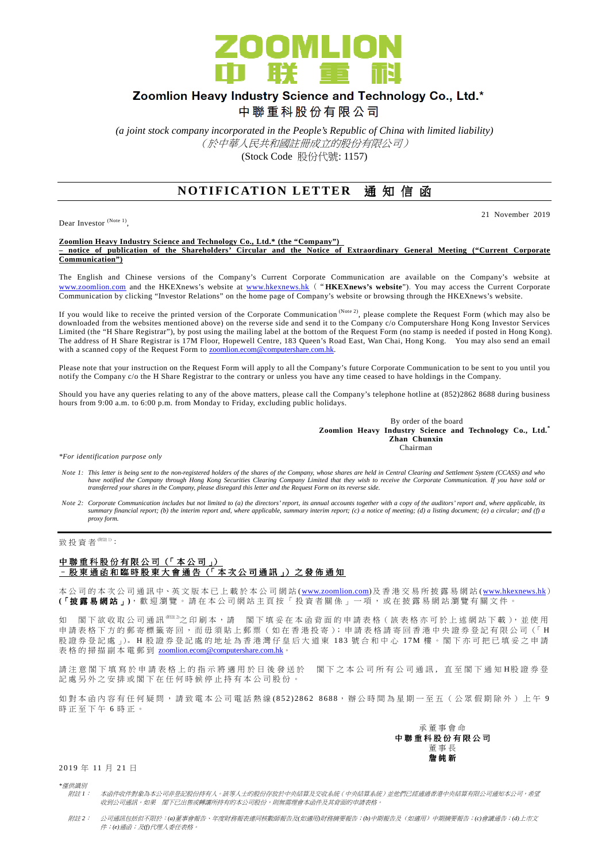

# Zoomlion Heavy Industry Science and Technology Co., Ltd.\*

中聯重科股份有限公司

*(a joint stock company incorporated in the People's Republic of China with limited liability)*  (於中華人民共和國註冊成立的股份有限公司) (Stock Code 股份代號: 1157)

# **NOTIFICATION LETTER** 通知信函

Dear Investor<sup>(Note 1)</sup>,

#### 21 November 2019

**Zoomlion Heavy Industry Science and Technology Co., Ltd.\* (the "Company") – notice of publication of the Shareholders' Circular and the Notice of Extraordinary General Meeting ("Current Corporate Communication")**

The English and Chinese versions of the Company's Current Corporate Communication are available on the Company's website at www.zoomlion.com and the HKEXnews's website at www.hkexnews.hk ("**HKEXnews's website**"). You may access the Current Corporate Communication by clicking "Investor Relations" on the home page of Company's website or browsing through the HKEXnews's website.

If you would like to receive the printed version of the Corporate Communication (Note 2), please complete the Request Form (which may also be downloaded from the websites mentioned above) on the reverse side and send it to the Company c/o Computershare Hong Kong Investor Services Limited (the "H Share Registrar"), by post using the mailing label at the bottom of the Request Form (no stamp is needed if posted in Hong Kong). The address of H Share Registrar is 17M Floor, Hopewell Centre, 183 Queen's Road East, Wan Chai, Hong Kong. You may also send an email with a scanned copy of the Request Form to **zoomlion.ecom@computershare.com.hk.** 

Please note that your instruction on the Request Form will apply to all the Company's future Corporate Communication to be sent to you until you notify the Company c/o the H Share Registrar to the contrary or unless you have any time ceased to have holdings in the Company.

Should you have any queries relating to any of the above matters, please call the Company's telephone hotline at (852)2862 8688 during business hours from 9:00 a.m. to 6:00 p.m. from Monday to Friday, excluding public holidays.

> By order of the board **Zoomlion Heavy Industry Science and Technology Co., Ltd.\* Zhan Chunxin**  Chairman Chairman

*\*For identification purpose only* 

- Note 1: This letter is being sent to the non-registered holders of the shares of the Company, whose shares are held in Central Clearing and Settlement System (CCASS) and who<br>have notified the Company through Hong Kong Secu *transferred your shares in the Company, please disregard this letter and the Request Form on its reverse side*.
- *Note 2: Corporate Communication includes but not limited to (a) the directors' report, its annual accounts together with a copy of the auditors' report and, where applicable, its summary financial report; (b) the interim report and, where applicable, summary interim report; (c) a notice of meeting; (d) a listing document; (e) a circular; and (f) a proxy form.*

致投資者 $$ (With):</sup>

## 中聯重科股份有限公司 (「本公司」) 股東通函和臨時股東大會通告(「本次公司通訊」)之發佈通知

本 公 司 的 本 次 公 司 通 訊 中、英 文 版 本 已 上 載 於 本 公 司 網 站 (www.zoomlion.com) 及 香 港 交 易 所 披 露 易 網 站 (www.hkexnews.hk) (「披露易網站」), 歡 迎 瀏 覽 。 請 在 本 公 司 網 站 主 頁 按 「 投 資 者 關 係 」 一 項 , 或 在 披 露 易 網 站 瀏 覽 有 關 文 件 。

如 閣 下 欲 收 取 公 司 通 訊 (附註 2)之 印 刷 本 , 請 閣 下 填 妥 在 本 函 背 面 的 申 請 表 格( 該 表 格 亦 可 於 上 述 網 站 下 載 ), 並 使 用 申請表格下方的郵寄標籤寄回,而毋須貼上郵票 (如在香港投寄); 申請表格請寄回香港中央證券登記有限公司 (「H 股證券登記處」)。H股證券登記處的地址為香港灣仔皇后大道東 183號合和中心 17M樓。閣下亦可把已填妥之申請 表格的掃描副本電郵到 zoomlion.ecom@computershare.com.hk。

請 注 意 閣 下 埴 寫 於 申 譜 表 格 上 的 指 示 將 滴 用 於 日 後 發 送 於 閣 下 之 本 公 司 所 有 公 司 诵 訊 , 直 至 閣 下 诵 知 H股 證 券 登 記處另外之安排或閣下在任何時候停止持有本公司股份。

如對本 函 内 容 有 任 何 疑 問 , 請 致 電 本 公 司 電 話 熱 線 (852) 2862 8688, 辦 公 時 間 為 星 期 一 至 五 ( 公 眾 假 期 除 外 ) 上 午 9 時正至下午6時正。

> 承 董 事 會 命 中 聯 重 科 股 份 有 限 公 司 董 事 長 詹 純 新

### 2019年11月21日

*\**僅供識別 附註 *1*: 本函件收件對象為本公司非登記股份持有人。該等人士的股份存放於中央結算及交收系統(中央結算系統)並他們已經通過香港中央結算有限公司通知本公司,希望 收到公司通訊。如果 閣下已出售或轉讓所持有的本公司股份,則無需理會本函件及其背面的申請表格。

附註 *2*: 公司通訊包括但不限於:*(a)*董事會報告、年度財務報表連同核數師報告及*(*如適用*)*財務摘要報告;*(b)*中期報告及(如適用)中期摘要報告;*(c)*會議通告;*(d)*上市文 件;*(e)*通函;及*(f)*代理人委任表格。